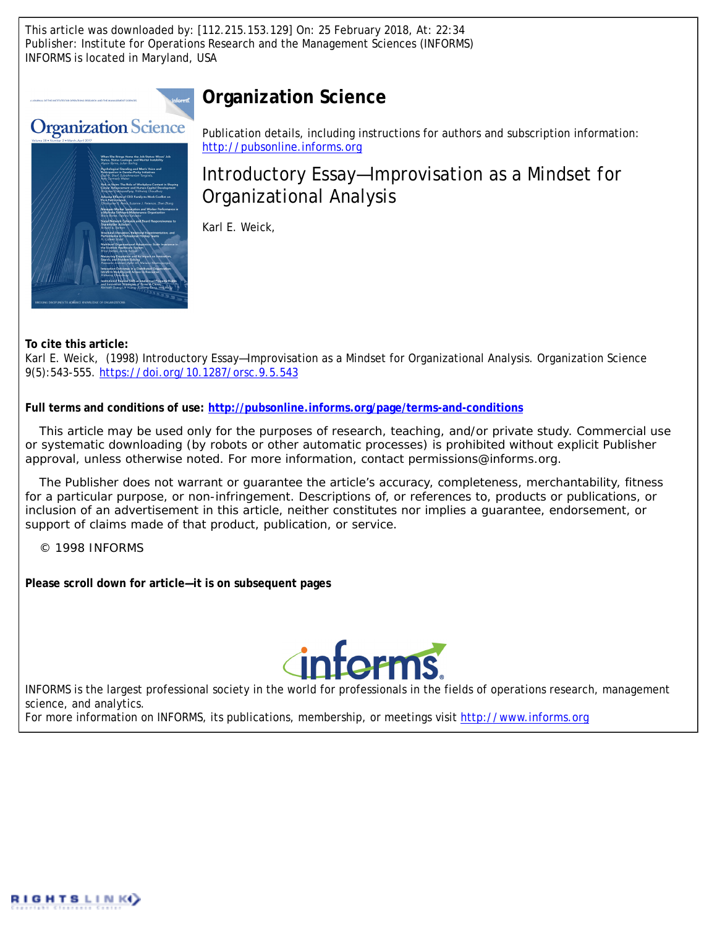This article was downloaded by: [112.215.153.129] On: 25 February 2018, At: 22:34 Publisher: Institute for Operations Research and the Management Sciences (INFORMS) INFORMS is located in Maryland, USA





## **Organization Science**

Publication details, including instructions for authors and subscription information: <http://pubsonline.informs.org>

# Introductory Essay—Improvisation as a Mindset for Organizational Analysis

Karl E. Weick,

**To cite this article:**

Karl E. Weick, (1998) Introductory Essay—Improvisation as a Mindset for Organizational Analysis. Organization Science 9(5):543-555. <https://doi.org/10.1287/orsc.9.5.543>

**Full terms and conditions of use: <http://pubsonline.informs.org/page/terms-and-conditions>**

This article may be used only for the purposes of research, teaching, and/or private study. Commercial use or systematic downloading (by robots or other automatic processes) is prohibited without explicit Publisher approval, unless otherwise noted. For more information, contact permissions@informs.org.

The Publisher does not warrant or guarantee the article's accuracy, completeness, merchantability, fitness for a particular purpose, or non-infringement. Descriptions of, or references to, products or publications, or inclusion of an advertisement in this article, neither constitutes nor implies a guarantee, endorsement, or support of claims made of that product, publication, or service.

© 1998 INFORMS

**Please scroll down for article—it is on subsequent pages**



INFORMS is the largest professional society in the world for professionals in the fields of operations research, management science, and analytics.

For more information on INFORMS, its publications, membership, or meetings visit <http://www.informs.org>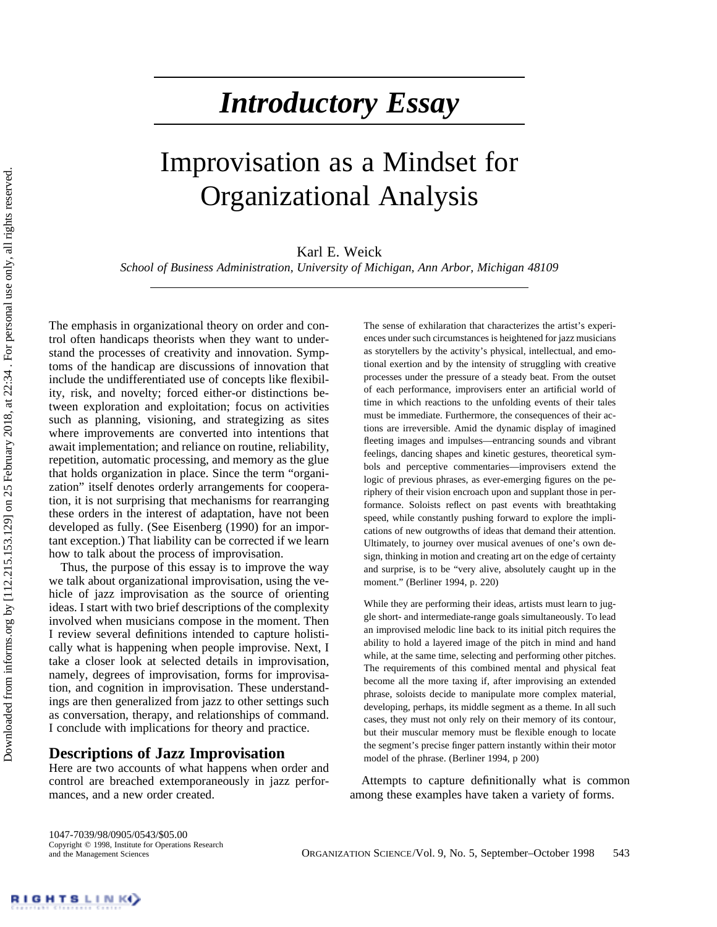# *Introductory Essay*

# Improvisation as a Mindset for Organizational Analysis

Karl E. Weick

*School of Business Administration, University of Michigan, Ann Arbor, Michigan 48109*

The emphasis in organizational theory on order and control often handicaps theorists when they want to understand the processes of creativity and innovation. Symptoms of the handicap are discussions of innovation that include the undifferentiated use of concepts like flexibility, risk, and novelty; forced either-or distinctions between exploration and exploitation; focus on activities such as planning, visioning, and strategizing as sites where improvements are converted into intentions that await implementation; and reliance on routine, reliability, repetition, automatic processing, and memory as the glue that holds organization in place. Since the term "organization" itself denotes orderly arrangements for cooperation, it is not surprising that mechanisms for rearranging these orders in the interest of adaptation, have not been developed as fully. (See Eisenberg (1990) for an important exception.) That liability can be corrected if we learn how to talk about the process of improvisation.

Thus, the purpose of this essay is to improve the way we talk about organizational improvisation, using the vehicle of jazz improvisation as the source of orienting ideas. I start with two brief descriptions of the complexity involved when musicians compose in the moment. Then I review several definitions intended to capture holistically what is happening when people improvise. Next, I take a closer look at selected details in improvisation, namely, degrees of improvisation, forms for improvisation, and cognition in improvisation. These understandings are then generalized from jazz to other settings such as conversation, therapy, and relationships of command. I conclude with implications for theory and practice.

#### **Descriptions of Jazz Improvisation**

Here are two accounts of what happens when order and control are breached extemporaneously in jazz performances, and a new order created.

The sense of exhilaration that characterizes the artist's experiences under such circumstances is heightened for jazz musicians as storytellers by the activity's physical, intellectual, and emotional exertion and by the intensity of struggling with creative processes under the pressure of a steady beat. From the outset of each performance, improvisers enter an artificial world of time in which reactions to the unfolding events of their tales must be immediate. Furthermore, the consequences of their actions are irreversible. Amid the dynamic display of imagined fleeting images and impulses—entrancing sounds and vibrant feelings, dancing shapes and kinetic gestures, theoretical symbols and perceptive commentaries—improvisers extend the logic of previous phrases, as ever-emerging figures on the periphery of their vision encroach upon and supplant those in performance. Soloists reflect on past events with breathtaking speed, while constantly pushing forward to explore the implications of new outgrowths of ideas that demand their attention. Ultimately, to journey over musical avenues of one's own design, thinking in motion and creating art on the edge of certainty and surprise, is to be "very alive, absolutely caught up in the moment." (Berliner 1994, p. 220)

While they are performing their ideas, artists must learn to juggle short- and intermediate-range goals simultaneously. To lead an improvised melodic line back to its initial pitch requires the ability to hold a layered image of the pitch in mind and hand while, at the same time, selecting and performing other pitches. The requirements of this combined mental and physical feat become all the more taxing if, after improvising an extended phrase, soloists decide to manipulate more complex material, developing, perhaps, its middle segment as a theme. In all such cases, they must not only rely on their memory of its contour, but their muscular memory must be flexible enough to locate the segment's precise finger pattern instantly within their motor model of the phrase. (Berliner 1994, p 200)

Attempts to capture definitionally what is common among these examples have taken a variety of forms.

1047-7039/98/0905/0543/\$05.00 Copyright © 1998, Institute for Operations Research and the Management Sciences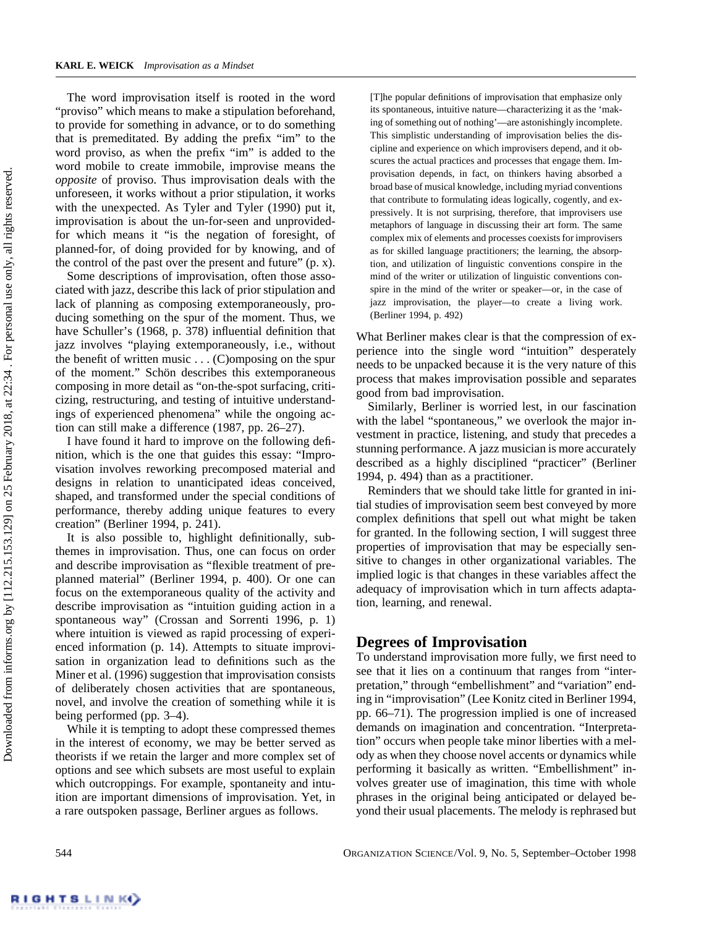The word improvisation itself is rooted in the word "proviso" which means to make a stipulation beforehand, to provide for something in advance, or to do something that is premeditated. By adding the prefix "im" to the word proviso, as when the prefix "im" is added to the word mobile to create immobile, improvise means the *opposite* of proviso. Thus improvisation deals with the unforeseen, it works without a prior stipulation, it works with the unexpected. As Tyler and Tyler (1990) put it, improvisation is about the un-for-seen and unprovidedfor which means it "is the negation of foresight, of planned-for, of doing provided for by knowing, and of the control of the past over the present and future"  $(p, x)$ .

Some descriptions of improvisation, often those associated with jazz, describe this lack of prior stipulation and lack of planning as composing extemporaneously, producing something on the spur of the moment. Thus, we have Schuller's (1968, p. 378) influential definition that jazz involves "playing extemporaneously, i.e., without the benefit of written music . . . (C)omposing on the spur of the moment." Schön describes this extemporaneous composing in more detail as "on-the-spot surfacing, criticizing, restructuring, and testing of intuitive understandings of experienced phenomena" while the ongoing action can still make a difference (1987, pp. 26–27).

I have found it hard to improve on the following definition, which is the one that guides this essay: "Improvisation involves reworking precomposed material and designs in relation to unanticipated ideas conceived, shaped, and transformed under the special conditions of performance, thereby adding unique features to every creation" (Berliner 1994, p. 241).

It is also possible to, highlight definitionally, subthemes in improvisation. Thus, one can focus on order and describe improvisation as "flexible treatment of preplanned material" (Berliner 1994, p. 400). Or one can focus on the extemporaneous quality of the activity and describe improvisation as "intuition guiding action in a spontaneous way" (Crossan and Sorrenti 1996, p. 1) where intuition is viewed as rapid processing of experienced information (p. 14). Attempts to situate improvisation in organization lead to definitions such as the Miner et al. (1996) suggestion that improvisation consists of deliberately chosen activities that are spontaneous, novel, and involve the creation of something while it is being performed (pp. 3–4).

While it is tempting to adopt these compressed themes in the interest of economy, we may be better served as theorists if we retain the larger and more complex set of options and see which subsets are most useful to explain which outcroppings. For example, spontaneity and intuition are important dimensions of improvisation. Yet, in a rare outspoken passage, Berliner argues as follows.

[T]he popular definitions of improvisation that emphasize only its spontaneous, intuitive nature—characterizing it as the 'making of something out of nothing'—are astonishingly incomplete. This simplistic understanding of improvisation belies the discipline and experience on which improvisers depend, and it obscures the actual practices and processes that engage them. Improvisation depends, in fact, on thinkers having absorbed a broad base of musical knowledge, including myriad conventions that contribute to formulating ideas logically, cogently, and expressively. It is not surprising, therefore, that improvisers use metaphors of language in discussing their art form. The same complex mix of elements and processes coexists for improvisers as for skilled language practitioners; the learning, the absorption, and utilization of linguistic conventions conspire in the mind of the writer or utilization of linguistic conventions conspire in the mind of the writer or speaker—or, in the case of jazz improvisation, the player—to create a living work. (Berliner 1994, p. 492)

What Berliner makes clear is that the compression of experience into the single word "intuition" desperately needs to be unpacked because it is the very nature of this process that makes improvisation possible and separates good from bad improvisation.

Similarly, Berliner is worried lest, in our fascination with the label "spontaneous," we overlook the major investment in practice, listening, and study that precedes a stunning performance. A jazz musician is more accurately described as a highly disciplined "practicer" (Berliner 1994, p. 494) than as a practitioner.

Reminders that we should take little for granted in initial studies of improvisation seem best conveyed by more complex definitions that spell out what might be taken for granted. In the following section, I will suggest three properties of improvisation that may be especially sensitive to changes in other organizational variables. The implied logic is that changes in these variables affect the adequacy of improvisation which in turn affects adaptation, learning, and renewal.

#### **Degrees of Improvisation**

To understand improvisation more fully, we first need to see that it lies on a continuum that ranges from "interpretation," through "embellishment" and "variation" ending in "improvisation" (Lee Konitz cited in Berliner 1994, pp. 66–71). The progression implied is one of increased demands on imagination and concentration. "Interpretation" occurs when people take minor liberties with a melody as when they choose novel accents or dynamics while performing it basically as written. "Embellishment" involves greater use of imagination, this time with whole phrases in the original being anticipated or delayed beyond their usual placements. The melody is rephrased but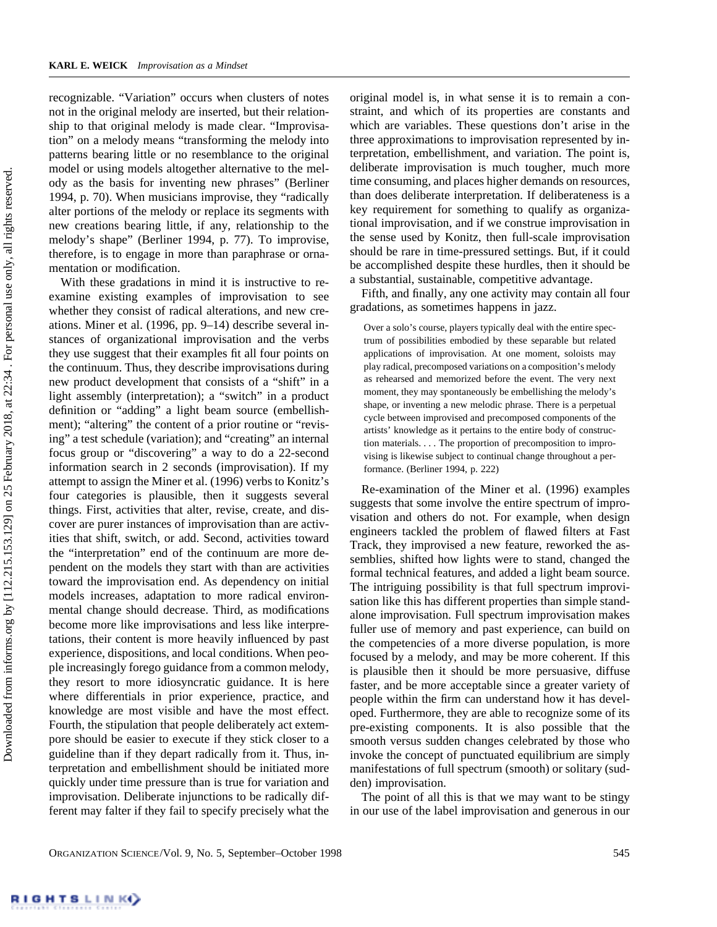recognizable. "Variation" occurs when clusters of notes not in the original melody are inserted, but their relationship to that original melody is made clear. "Improvisation" on a melody means "transforming the melody into patterns bearing little or no resemblance to the original model or using models altogether alternative to the melody as the basis for inventing new phrases" (Berliner 1994, p. 70). When musicians improvise, they "radically alter portions of the melody or replace its segments with new creations bearing little, if any, relationship to the melody's shape" (Berliner 1994, p. 77). To improvise, therefore, is to engage in more than paraphrase or ornamentation or modification.

With these gradations in mind it is instructive to reexamine existing examples of improvisation to see whether they consist of radical alterations, and new creations. Miner et al. (1996, pp. 9–14) describe several instances of organizational improvisation and the verbs they use suggest that their examples fit all four points on the continuum. Thus, they describe improvisations during new product development that consists of a "shift" in a light assembly (interpretation); a "switch" in a product definition or "adding" a light beam source (embellishment); "altering" the content of a prior routine or "revising" a test schedule (variation); and "creating" an internal focus group or "discovering" a way to do a 22-second information search in 2 seconds (improvisation). If my attempt to assign the Miner et al. (1996) verbs to Konitz's four categories is plausible, then it suggests several things. First, activities that alter, revise, create, and discover are purer instances of improvisation than are activities that shift, switch, or add. Second, activities toward the "interpretation" end of the continuum are more dependent on the models they start with than are activities toward the improvisation end. As dependency on initial models increases, adaptation to more radical environmental change should decrease. Third, as modifications become more like improvisations and less like interpretations, their content is more heavily influenced by past experience, dispositions, and local conditions. When people increasingly forego guidance from a common melody, they resort to more idiosyncratic guidance. It is here where differentials in prior experience, practice, and knowledge are most visible and have the most effect. Fourth, the stipulation that people deliberately act extempore should be easier to execute if they stick closer to a guideline than if they depart radically from it. Thus, interpretation and embellishment should be initiated more quickly under time pressure than is true for variation and improvisation. Deliberate injunctions to be radically different may falter if they fail to specify precisely what the

original model is, in what sense it is to remain a constraint, and which of its properties are constants and which are variables. These questions don't arise in the three approximations to improvisation represented by interpretation, embellishment, and variation. The point is, deliberate improvisation is much tougher, much more time consuming, and places higher demands on resources, than does deliberate interpretation. If deliberateness is a key requirement for something to qualify as organizational improvisation, and if we construe improvisation in the sense used by Konitz, then full-scale improvisation should be rare in time-pressured settings. But, if it could be accomplished despite these hurdles, then it should be a substantial, sustainable, competitive advantage.

Fifth, and finally, any one activity may contain all four gradations, as sometimes happens in jazz.

Over a solo's course, players typically deal with the entire spectrum of possibilities embodied by these separable but related applications of improvisation. At one moment, soloists may play radical, precomposed variations on a composition's melody as rehearsed and memorized before the event. The very next moment, they may spontaneously be embellishing the melody's shape, or inventing a new melodic phrase. There is a perpetual cycle between improvised and precomposed components of the artists' knowledge as it pertains to the entire body of construction materials. . . . The proportion of precomposition to improvising is likewise subject to continual change throughout a performance. (Berliner 1994, p. 222)

Re-examination of the Miner et al. (1996) examples suggests that some involve the entire spectrum of improvisation and others do not. For example, when design engineers tackled the problem of flawed filters at Fast Track, they improvised a new feature, reworked the assemblies, shifted how lights were to stand, changed the formal technical features, and added a light beam source. The intriguing possibility is that full spectrum improvisation like this has different properties than simple standalone improvisation. Full spectrum improvisation makes fuller use of memory and past experience, can build on the competencies of a more diverse population, is more focused by a melody, and may be more coherent. If this is plausible then it should be more persuasive, diffuse faster, and be more acceptable since a greater variety of people within the firm can understand how it has developed. Furthermore, they are able to recognize some of its pre-existing components. It is also possible that the smooth versus sudden changes celebrated by those who invoke the concept of punctuated equilibrium are simply manifestations of full spectrum (smooth) or solitary (sudden) improvisation.

The point of all this is that we may want to be stingy in our use of the label improvisation and generous in our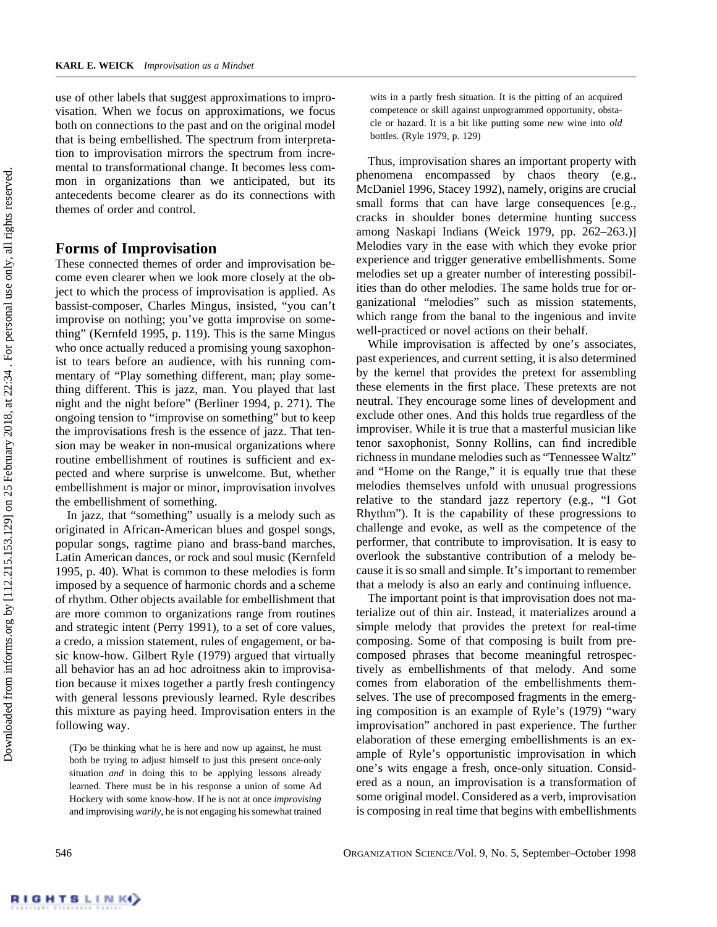use of other labels that suggest approximations to improvisation. When we focus on approximations, we focus both on connections to the past and on the original model that is being embellished. The spectrum from interpretation to improvisation mirrors the spectrum from incremental to transformational change. It becomes less common in organizations than we anticipated, but its antecedents become clearer as do its connections with themes of order and control.

#### **Forms of Improvisation**

These connected themes of order and improvisation become even clearer when we look more closely at the object to which the process of improvisation is applied. As bassist-composer, Charles Mingus, insisted, "you can't improvise on nothing; you've gotta improvise on something" (Kernfeld 1995, p. 119). This is the same Mingus who once actually reduced a promising young saxophonist to tears before an audience, with his running commentary of "Play something different, man; play something different. This is jazz, man. You played that last night and the night before" (Berliner 1994, p. 271). The ongoing tension to "improvise on something" but to keep the improvisations fresh is the essence of jazz. That tension may be weaker in non-musical organizations where routine embellishment of routines is sufficient and expected and where surprise is unwelcome. But, whether embellishment is major or minor, improvisation involves the embellishment of something.

In jazz, that "something" usually is a melody such as originated in African-American blues and gospel songs, popular songs, ragtime piano and brass-band marches, Latin American dances, or rock and soul music (Kernfeld 1995, p. 40). What is common to these melodies is form imposed by a sequence of harmonic chords and a scheme of rhythm. Other objects available for embellishment that are more common to organizations range from routines and strategic intent (Perry 1991), to a set of core values, a credo, a mission statement, rules of engagement, or basic know-how. Gilbert Ryle (1979) argued that virtually all behavior has an ad hoc adroitness akin to improvisation because it mixes together a partly fresh contingency with general lessons previously learned. Ryle describes this mixture as paying heed. Improvisation enters in the following way.

(T)o be thinking what he is here and now up against, he must both be trying to adjust himself to just this present once-only situation *and* in doing this to be applying lessons already learned. There must be in his response a union of some Ad Hockery with some know-how. If he is not at once *improvising* and improvising *warily*, he is not engaging his somewhat trained

wits in a partly fresh situation. It is the pitting of an acquired competence or skill against unprogrammed opportunity, obstacle or hazard. It is a bit like putting some *new* wine into *old* bottles. (Ryle 1979, p. 129)

Thus, improvisation shares an important property with phenomena encompassed by chaos theory (e.g., McDaniel 1996, Stacey 1992), namely, origins are crucial small forms that can have large consequences [e.g., cracks in shoulder bones determine hunting success among Naskapi Indians (Weick 1979, pp. 262–263.)] Melodies vary in the ease with which they evoke prior experience and trigger generative embellishments. Some melodies set up a greater number of interesting possibilities than do other melodies. The same holds true for organizational "melodies" such as mission statements, which range from the banal to the ingenious and invite well-practiced or novel actions on their behalf.

While improvisation is affected by one's associates, past experiences, and current setting, it is also determined by the kernel that provides the pretext for assembling these elements in the first place. These pretexts are not neutral. They encourage some lines of development and exclude other ones. And this holds true regardless of the improviser. While it is true that a masterful musician like tenor saxophonist, Sonny Rollins, can find incredible richness in mundane melodies such as "Tennessee Waltz" and "Home on the Range," it is equally true that these melodies themselves unfold with unusual progressions relative to the standard jazz repertory (e.g., "I Got Rhythm"). It is the capability of these progressions to challenge and evoke, as well as the competence of the performer, that contribute to improvisation. It is easy to overlook the substantive contribution of a melody because it is so small and simple. It's important to remember that a melody is also an early and continuing influence.

The important point is that improvisation does not materialize out of thin air. Instead, it materializes around a simple melody that provides the pretext for real-time composing. Some of that composing is built from precomposed phrases that become meaningful retrospectively as embellishments of that melody. And some comes from elaboration of the embellishments themselves. The use of precomposed fragments in the emerging composition is an example of Ryle's (1979) "wary improvisation" anchored in past experience. The further elaboration of these emerging embellishments is an example of Ryle's opportunistic improvisation in which one's wits engage a fresh, once-only situation. Considered as a noun, an improvisation is a transformation of some original model. Considered as a verb, improvisation is composing in real time that begins with embellishments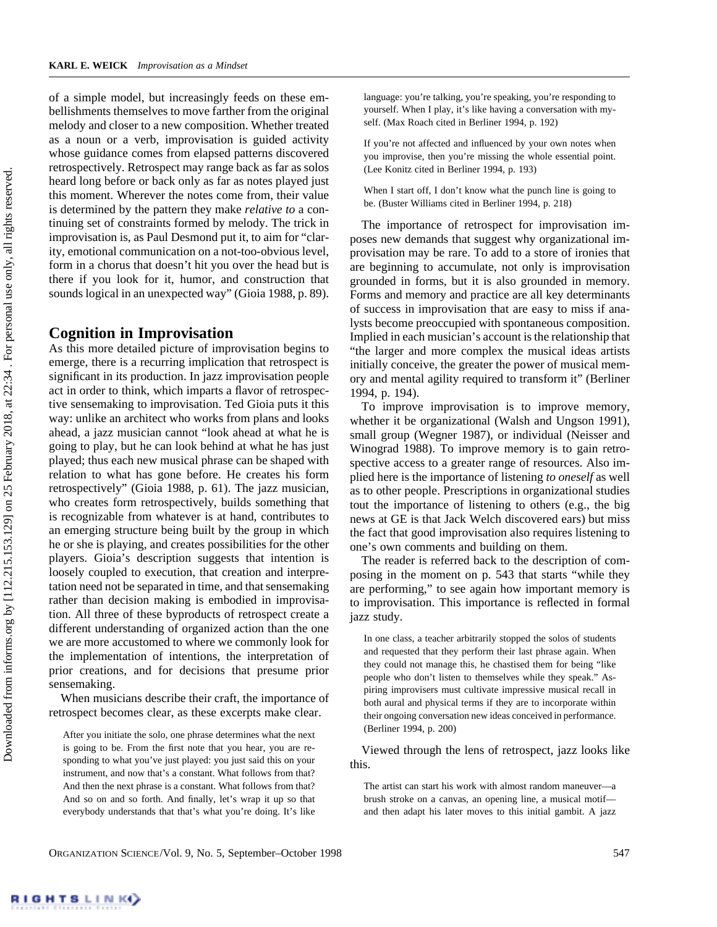of a simple model, but increasingly feeds on these embellishments themselves to move farther from the original melody and closer to a new composition. Whether treated as a noun or a verb, improvisation is guided activity whose guidance comes from elapsed patterns discovered retrospectively. Retrospect may range back as far as solos heard long before or back only as far as notes played just this moment. Wherever the notes come from, their value is determined by the pattern they make *relative to* a continuing set of constraints formed by melody. The trick in improvisation is, as Paul Desmond put it, to aim for "clarity, emotional communication on a not-too-obvious level, form in a chorus that doesn't hit you over the head but is there if you look for it, humor, and construction that sounds logical in an unexpected way" (Gioia 1988, p. 89).

### **Cognition in Improvisation**

As this more detailed picture of improvisation begins to emerge, there is a recurring implication that retrospect is significant in its production. In jazz improvisation people act in order to think, which imparts a flavor of retrospective sensemaking to improvisation. Ted Gioia puts it this way: unlike an architect who works from plans and looks ahead, a jazz musician cannot "look ahead at what he is going to play, but he can look behind at what he has just played; thus each new musical phrase can be shaped with relation to what has gone before. He creates his form retrospectively" (Gioia 1988, p. 61). The jazz musician, who creates form retrospectively, builds something that is recognizable from whatever is at hand, contributes to an emerging structure being built by the group in which he or she is playing, and creates possibilities for the other players. Gioia's description suggests that intention is loosely coupled to execution, that creation and interpretation need not be separated in time, and that sensemaking rather than decision making is embodied in improvisation. All three of these byproducts of retrospect create a different understanding of organized action than the one we are more accustomed to where we commonly look for the implementation of intentions, the interpretation of prior creations, and for decisions that presume prior sensemaking.

When musicians describe their craft, the importance of retrospect becomes clear, as these excerpts make clear.

After you initiate the solo, one phrase determines what the next is going to be. From the first note that you hear, you are responding to what you've just played: you just said this on your instrument, and now that's a constant. What follows from that? And then the next phrase is a constant. What follows from that? And so on and so forth. And finally, let's wrap it up so that everybody understands that that's what you're doing. It's like

language: you're talking, you're speaking, you're responding to yourself. When I play, it's like having a conversation with myself. (Max Roach cited in Berliner 1994, p. 192)

If you're not affected and influenced by your own notes when you improvise, then you're missing the whole essential point. (Lee Konitz cited in Berliner 1994, p. 193)

When I start off, I don't know what the punch line is going to be. (Buster Williams cited in Berliner 1994, p. 218)

The importance of retrospect for improvisation imposes new demands that suggest why organizational improvisation may be rare. To add to a store of ironies that are beginning to accumulate, not only is improvisation grounded in forms, but it is also grounded in memory. Forms and memory and practice are all key determinants of success in improvisation that are easy to miss if analysts become preoccupied with spontaneous composition. Implied in each musician's account is the relationship that "the larger and more complex the musical ideas artists initially conceive, the greater the power of musical memory and mental agility required to transform it" (Berliner 1994, p. 194).

To improve improvisation is to improve memory, whether it be organizational (Walsh and Ungson 1991), small group (Wegner 1987), or individual (Neisser and Winograd 1988). To improve memory is to gain retrospective access to a greater range of resources. Also implied here is the importance of listening *to oneself* as well as to other people. Prescriptions in organizational studies tout the importance of listening to others (e.g., the big news at GE is that Jack Welch discovered ears) but miss the fact that good improvisation also requires listening to one's own comments and building on them.

The reader is referred back to the description of composing in the moment on p. 543 that starts "while they are performing," to see again how important memory is to improvisation. This importance is reflected in formal jazz study.

In one class, a teacher arbitrarily stopped the solos of students and requested that they perform their last phrase again. When they could not manage this, he chastised them for being "like people who don't listen to themselves while they speak." Aspiring improvisers must cultivate impressive musical recall in both aural and physical terms if they are to incorporate within their ongoing conversation new ideas conceived in performance. (Berliner 1994, p. 200)

Viewed through the lens of retrospect, jazz looks like this.

The artist can start his work with almost random maneuver—a brush stroke on a canvas, an opening line, a musical motif and then adapt his later moves to this initial gambit. A jazz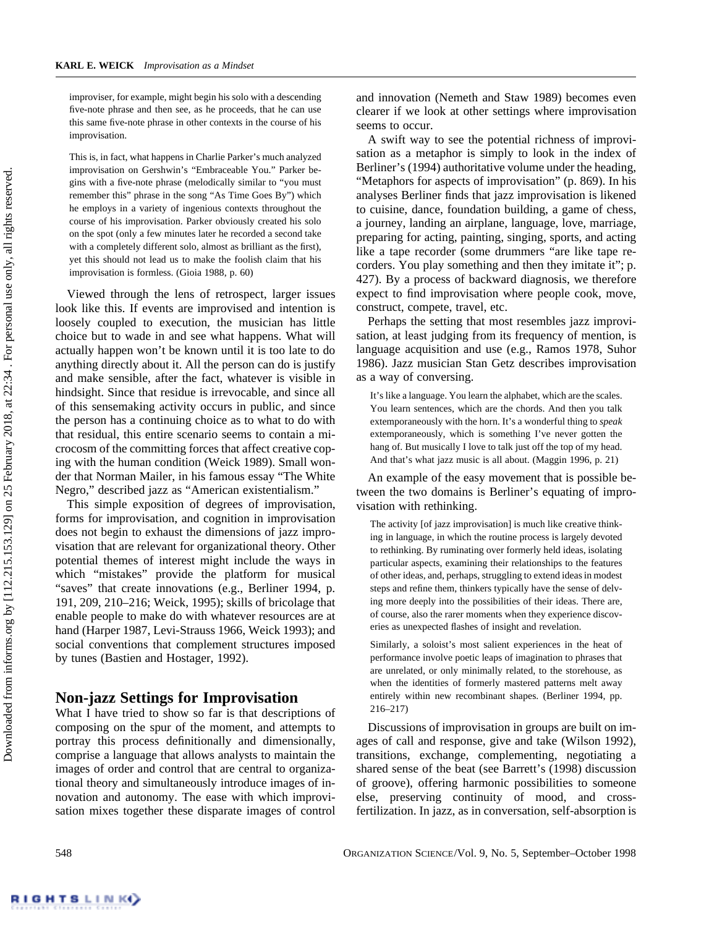improviser, for example, might begin his solo with a descending five-note phrase and then see, as he proceeds, that he can use this same five-note phrase in other contexts in the course of his improvisation.

This is, in fact, what happens in Charlie Parker's much analyzed improvisation on Gershwin's "Embraceable You." Parker begins with a five-note phrase (melodically similar to "you must remember this" phrase in the song "As Time Goes By") which he employs in a variety of ingenious contexts throughout the course of his improvisation. Parker obviously created his solo on the spot (only a few minutes later he recorded a second take with a completely different solo, almost as brilliant as the first), yet this should not lead us to make the foolish claim that his improvisation is formless. (Gioia 1988, p. 60)

Viewed through the lens of retrospect, larger issues look like this. If events are improvised and intention is loosely coupled to execution, the musician has little choice but to wade in and see what happens. What will actually happen won't be known until it is too late to do anything directly about it. All the person can do is justify and make sensible, after the fact, whatever is visible in hindsight. Since that residue is irrevocable, and since all of this sensemaking activity occurs in public, and since the person has a continuing choice as to what to do with that residual, this entire scenario seems to contain a microcosm of the committing forces that affect creative coping with the human condition (Weick 1989). Small wonder that Norman Mailer, in his famous essay "The White Negro," described jazz as "American existentialism."

This simple exposition of degrees of improvisation, forms for improvisation, and cognition in improvisation does not begin to exhaust the dimensions of jazz improvisation that are relevant for organizational theory. Other potential themes of interest might include the ways in which "mistakes" provide the platform for musical "saves" that create innovations (e.g., Berliner 1994, p. 191, 209, 210–216; Weick, 1995); skills of bricolage that enable people to make do with whatever resources are at hand (Harper 1987, Levi-Strauss 1966, Weick 1993); and social conventions that complement structures imposed by tunes (Bastien and Hostager, 1992).

### **Non-jazz Settings for Improvisation**

What I have tried to show so far is that descriptions of composing on the spur of the moment, and attempts to portray this process definitionally and dimensionally, comprise a language that allows analysts to maintain the images of order and control that are central to organizational theory and simultaneously introduce images of innovation and autonomy. The ease with which improvisation mixes together these disparate images of control

and innovation (Nemeth and Staw 1989) becomes even clearer if we look at other settings where improvisation seems to occur.

A swift way to see the potential richness of improvisation as a metaphor is simply to look in the index of Berliner's (1994) authoritative volume under the heading, "Metaphors for aspects of improvisation" (p. 869). In his analyses Berliner finds that jazz improvisation is likened to cuisine, dance, foundation building, a game of chess, a journey, landing an airplane, language, love, marriage, preparing for acting, painting, singing, sports, and acting like a tape recorder (some drummers "are like tape recorders. You play something and then they imitate it"; p. 427). By a process of backward diagnosis, we therefore expect to find improvisation where people cook, move, construct, compete, travel, etc.

Perhaps the setting that most resembles jazz improvisation, at least judging from its frequency of mention, is language acquisition and use (e.g., Ramos 1978, Suhor 1986). Jazz musician Stan Getz describes improvisation as a way of conversing.

It's like a language. You learn the alphabet, which are the scales. You learn sentences, which are the chords. And then you talk extemporaneously with the horn. It's a wonderful thing to *speak* extemporaneously, which is something I've never gotten the hang of. But musically I love to talk just off the top of my head. And that's what jazz music is all about. (Maggin 1996, p. 21)

An example of the easy movement that is possible between the two domains is Berliner's equating of improvisation with rethinking.

The activity [of jazz improvisation] is much like creative thinking in language, in which the routine process is largely devoted to rethinking. By ruminating over formerly held ideas, isolating particular aspects, examining their relationships to the features of other ideas, and, perhaps, struggling to extend ideas in modest steps and refine them, thinkers typically have the sense of delving more deeply into the possibilities of their ideas. There are, of course, also the rarer moments when they experience discoveries as unexpected flashes of insight and revelation.

Similarly, a soloist's most salient experiences in the heat of performance involve poetic leaps of imagination to phrases that are unrelated, or only minimally related, to the storehouse, as when the identities of formerly mastered patterns melt away entirely within new recombinant shapes. (Berliner 1994, pp. 216–217)

Discussions of improvisation in groups are built on images of call and response, give and take (Wilson 1992), transitions, exchange, complementing, negotiating a shared sense of the beat (see Barrett's (1998) discussion of groove), offering harmonic possibilities to someone else, preserving continuity of mood, and crossfertilization. In jazz, as in conversation, self-absorption is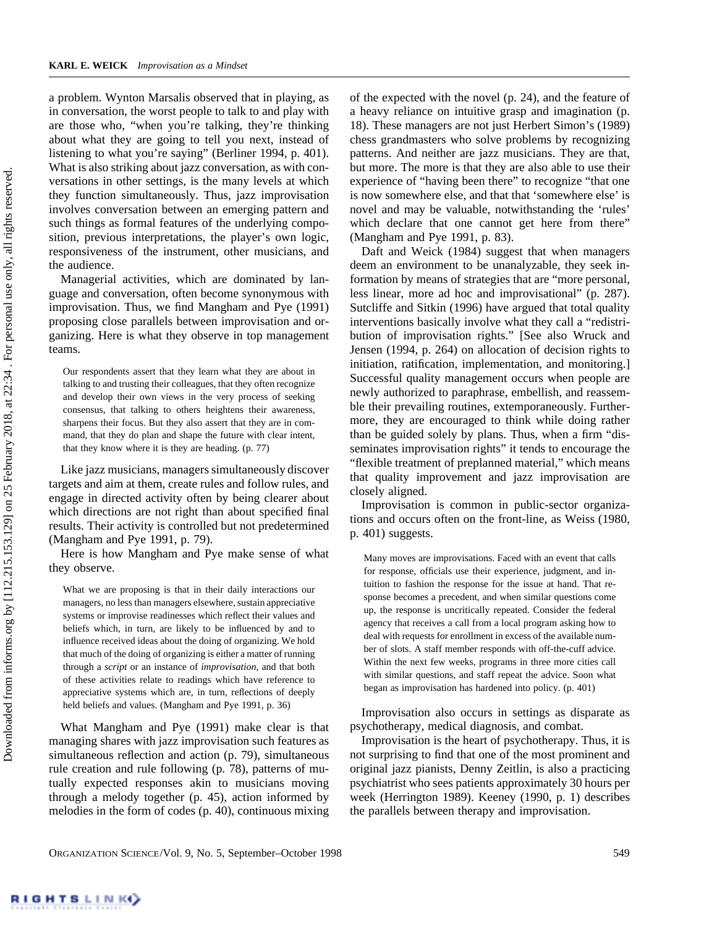a problem. Wynton Marsalis observed that in playing, as in conversation, the worst people to talk to and play with are those who, "when you're talking, they're thinking about what they are going to tell you next, instead of listening to what you're saying" (Berliner 1994, p. 401). What is also striking about jazz conversation, as with conversations in other settings, is the many levels at which they function simultaneously. Thus, jazz improvisation involves conversation between an emerging pattern and such things as formal features of the underlying composition, previous interpretations, the player's own logic, responsiveness of the instrument, other musicians, and the audience.

Managerial activities, which are dominated by language and conversation, often become synonymous with improvisation. Thus, we find Mangham and Pye (1991) proposing close parallels between improvisation and organizing. Here is what they observe in top management teams.

Our respondents assert that they learn what they are about in talking to and trusting their colleagues, that they often recognize and develop their own views in the very process of seeking consensus, that talking to others heightens their awareness, sharpens their focus. But they also assert that they are in command, that they do plan and shape the future with clear intent, that they know where it is they are heading. (p. 77)

Like jazz musicians, managers simultaneously discover targets and aim at them, create rules and follow rules, and engage in directed activity often by being clearer about which directions are not right than about specified final results. Their activity is controlled but not predetermined (Mangham and Pye 1991, p. 79).

Here is how Mangham and Pye make sense of what they observe.

What we are proposing is that in their daily interactions our managers, no less than managers elsewhere, sustain appreciative systems or improvise readinesses which reflect their values and beliefs which, in turn, are likely to be influenced by and to influence received ideas about the doing of organizing. We hold that much of the doing of organizing is either a matter of running through a *script* or an instance of *improvisation*, and that both of these activities relate to readings which have reference to appreciative systems which are, in turn, reflections of deeply held beliefs and values. (Mangham and Pye 1991, p. 36)

What Mangham and Pye (1991) make clear is that managing shares with jazz improvisation such features as simultaneous reflection and action (p. 79), simultaneous rule creation and rule following (p. 78), patterns of mutually expected responses akin to musicians moving through a melody together (p. 45), action informed by melodies in the form of codes (p. 40), continuous mixing

of the expected with the novel (p. 24), and the feature of a heavy reliance on intuitive grasp and imagination (p. 18). These managers are not just Herbert Simon's (1989) chess grandmasters who solve problems by recognizing patterns. And neither are jazz musicians. They are that, but more. The more is that they are also able to use their experience of "having been there" to recognize "that one is now somewhere else, and that that 'somewhere else' is novel and may be valuable, notwithstanding the 'rules' which declare that one cannot get here from there" (Mangham and Pye 1991, p. 83).

Daft and Weick (1984) suggest that when managers deem an environment to be unanalyzable, they seek information by means of strategies that are "more personal, less linear, more ad hoc and improvisational" (p. 287). Sutcliffe and Sitkin (1996) have argued that total quality interventions basically involve what they call a "redistribution of improvisation rights." [See also Wruck and Jensen (1994, p. 264) on allocation of decision rights to initiation, ratification, implementation, and monitoring.] Successful quality management occurs when people are newly authorized to paraphrase, embellish, and reassemble their prevailing routines, extemporaneously. Furthermore, they are encouraged to think while doing rather than be guided solely by plans. Thus, when a firm "disseminates improvisation rights" it tends to encourage the "flexible treatment of preplanned material," which means that quality improvement and jazz improvisation are closely aligned.

Improvisation is common in public-sector organizations and occurs often on the front-line, as Weiss (1980, p. 401) suggests.

Many moves are improvisations. Faced with an event that calls for response, officials use their experience, judgment, and intuition to fashion the response for the issue at hand. That response becomes a precedent, and when similar questions come up, the response is uncritically repeated. Consider the federal agency that receives a call from a local program asking how to deal with requests for enrollment in excess of the available number of slots. A staff member responds with off-the-cuff advice. Within the next few weeks, programs in three more cities call with similar questions, and staff repeat the advice. Soon what began as improvisation has hardened into policy. (p. 401)

Improvisation also occurs in settings as disparate as psychotherapy, medical diagnosis, and combat.

Improvisation is the heart of psychotherapy. Thus, it is not surprising to find that one of the most prominent and original jazz pianists, Denny Zeitlin, is also a practicing psychiatrist who sees patients approximately 30 hours per week (Herrington 1989). Keeney (1990, p. 1) describes the parallels between therapy and improvisation.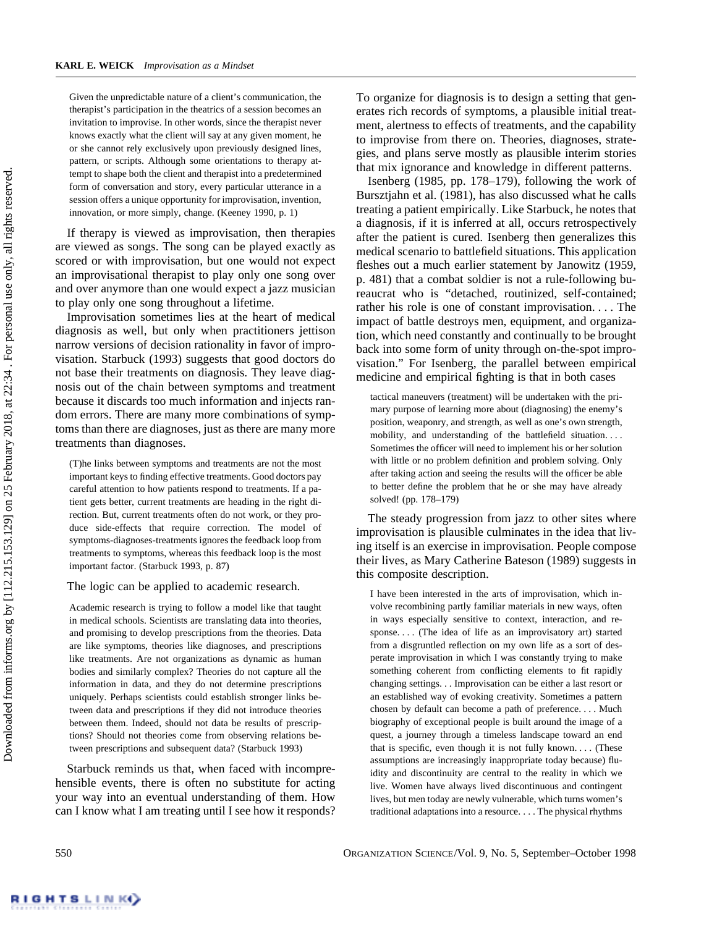Given the unpredictable nature of a client's communication, the therapist's participation in the theatrics of a session becomes an invitation to improvise. In other words, since the therapist never knows exactly what the client will say at any given moment, he or she cannot rely exclusively upon previously designed lines, pattern, or scripts. Although some orientations to therapy attempt to shape both the client and therapist into a predetermined form of conversation and story, every particular utterance in a session offers a unique opportunity for improvisation, invention, innovation, or more simply, change. (Keeney 1990, p. 1)

If therapy is viewed as improvisation, then therapies are viewed as songs. The song can be played exactly as scored or with improvisation, but one would not expect an improvisational therapist to play only one song over and over anymore than one would expect a jazz musician to play only one song throughout a lifetime.

Improvisation sometimes lies at the heart of medical diagnosis as well, but only when practitioners jettison narrow versions of decision rationality in favor of improvisation. Starbuck (1993) suggests that good doctors do not base their treatments on diagnosis. They leave diagnosis out of the chain between symptoms and treatment because it discards too much information and injects random errors. There are many more combinations of symptoms than there are diagnoses, just as there are many more treatments than diagnoses.

(T)he links between symptoms and treatments are not the most important keys to finding effective treatments. Good doctors pay careful attention to how patients respond to treatments. If a patient gets better, current treatments are heading in the right direction. But, current treatments often do not work, or they produce side-effects that require correction. The model of symptoms-diagnoses-treatments ignores the feedback loop from treatments to symptoms, whereas this feedback loop is the most important factor. (Starbuck 1993, p. 87)

#### The logic can be applied to academic research.

Academic research is trying to follow a model like that taught in medical schools. Scientists are translating data into theories, and promising to develop prescriptions from the theories. Data are like symptoms, theories like diagnoses, and prescriptions like treatments. Are not organizations as dynamic as human bodies and similarly complex? Theories do not capture all the information in data, and they do not determine prescriptions uniquely. Perhaps scientists could establish stronger links between data and prescriptions if they did not introduce theories between them. Indeed, should not data be results of prescriptions? Should not theories come from observing relations between prescriptions and subsequent data? (Starbuck 1993)

Starbuck reminds us that, when faced with incomprehensible events, there is often no substitute for acting your way into an eventual understanding of them. How can I know what I am treating until I see how it responds? To organize for diagnosis is to design a setting that generates rich records of symptoms, a plausible initial treatment, alertness to effects of treatments, and the capability to improvise from there on. Theories, diagnoses, strategies, and plans serve mostly as plausible interim stories that mix ignorance and knowledge in different patterns.

Isenberg (1985, pp. 178–179), following the work of Bursztjahn et al. (1981), has also discussed what he calls treating a patient empirically. Like Starbuck, he notes that a diagnosis, if it is inferred at all, occurs retrospectively after the patient is cured. Isenberg then generalizes this medical scenario to battlefield situations. This application fleshes out a much earlier statement by Janowitz (1959, p. 481) that a combat soldier is not a rule-following bureaucrat who is "detached, routinized, self-contained; rather his role is one of constant improvisation. . . . The impact of battle destroys men, equipment, and organization, which need constantly and continually to be brought back into some form of unity through on-the-spot improvisation." For Isenberg, the parallel between empirical medicine and empirical fighting is that in both cases

tactical maneuvers (treatment) will be undertaken with the primary purpose of learning more about (diagnosing) the enemy's position, weaponry, and strength, as well as one's own strength, mobility, and understanding of the battlefield situation.... Sometimes the officer will need to implement his or her solution with little or no problem definition and problem solving. Only after taking action and seeing the results will the officer be able to better define the problem that he or she may have already solved! (pp. 178–179)

The steady progression from jazz to other sites where improvisation is plausible culminates in the idea that living itself is an exercise in improvisation. People compose their lives, as Mary Catherine Bateson (1989) suggests in this composite description.

I have been interested in the arts of improvisation, which involve recombining partly familiar materials in new ways, often in ways especially sensitive to context, interaction, and response.... (The idea of life as an improvisatory art) started from a disgruntled reflection on my own life as a sort of desperate improvisation in which I was constantly trying to make something coherent from conflicting elements to fit rapidly changing settings. . . Improvisation can be either a last resort or an established way of evoking creativity. Sometimes a pattern chosen by default can become a path of preference.... Much biography of exceptional people is built around the image of a quest, a journey through a timeless landscape toward an end that is specific, even though it is not fully known.... (These assumptions are increasingly inappropriate today because) fluidity and discontinuity are central to the reality in which we live. Women have always lived discontinuous and contingent lives, but men today are newly vulnerable, which turns women's traditional adaptations into a resource. . . . The physical rhythms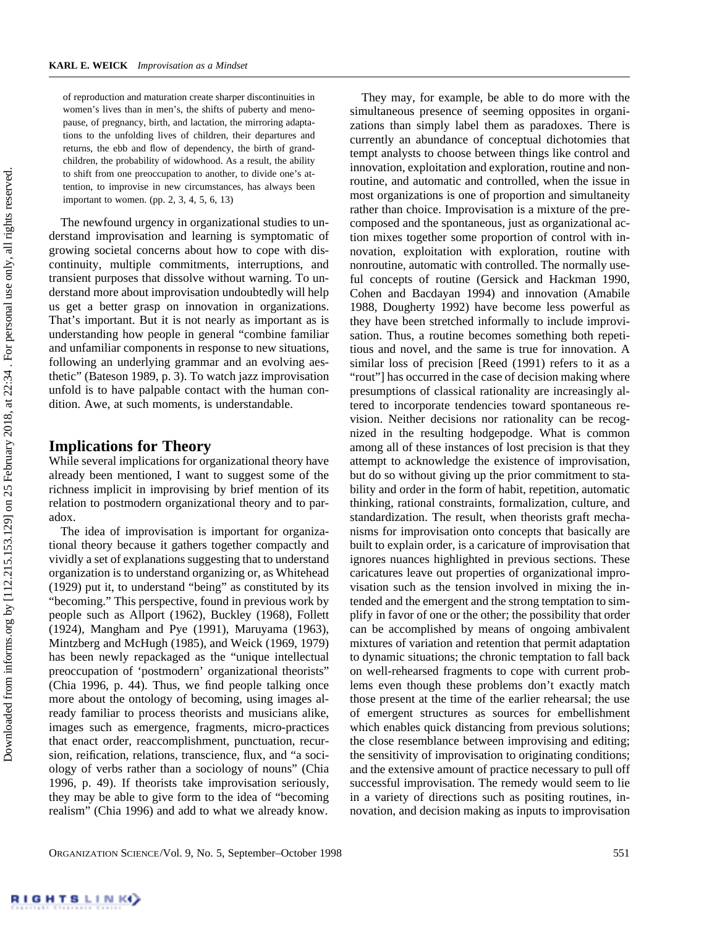of reproduction and maturation create sharper discontinuities in women's lives than in men's, the shifts of puberty and menopause, of pregnancy, birth, and lactation, the mirroring adaptations to the unfolding lives of children, their departures and returns, the ebb and flow of dependency, the birth of grandchildren, the probability of widowhood. As a result, the ability to shift from one preoccupation to another, to divide one's attention, to improvise in new circumstances, has always been important to women. (pp. 2, 3, 4, 5, 6, 13)

The newfound urgency in organizational studies to understand improvisation and learning is symptomatic of growing societal concerns about how to cope with discontinuity, multiple commitments, interruptions, and transient purposes that dissolve without warning. To understand more about improvisation undoubtedly will help us get a better grasp on innovation in organizations. That's important. But it is not nearly as important as is understanding how people in general "combine familiar and unfamiliar components in response to new situations, following an underlying grammar and an evolving aesthetic" (Bateson 1989, p. 3). To watch jazz improvisation unfold is to have palpable contact with the human condition. Awe, at such moments, is understandable.

#### **Implications for Theory**

While several implications for organizational theory have already been mentioned, I want to suggest some of the richness implicit in improvising by brief mention of its relation to postmodern organizational theory and to paradox.

The idea of improvisation is important for organizational theory because it gathers together compactly and vividly a set of explanations suggesting that to understand organization is to understand organizing or, as Whitehead (1929) put it, to understand "being" as constituted by its "becoming." This perspective, found in previous work by people such as Allport (1962), Buckley (1968), Follett (1924), Mangham and Pye (1991), Maruyama (1963), Mintzberg and McHugh (1985), and Weick (1969, 1979) has been newly repackaged as the "unique intellectual preoccupation of 'postmodern' organizational theorists" (Chia 1996, p. 44). Thus, we find people talking once more about the ontology of becoming, using images already familiar to process theorists and musicians alike, images such as emergence, fragments, micro-practices that enact order, reaccomplishment, punctuation, recursion, reification, relations, transcience, flux, and "a sociology of verbs rather than a sociology of nouns" (Chia 1996, p. 49). If theorists take improvisation seriously, they may be able to give form to the idea of "becoming realism" (Chia 1996) and add to what we already know.

They may, for example, be able to do more with the simultaneous presence of seeming opposites in organizations than simply label them as paradoxes. There is currently an abundance of conceptual dichotomies that tempt analysts to choose between things like control and innovation, exploitation and exploration, routine and nonroutine, and automatic and controlled, when the issue in most organizations is one of proportion and simultaneity rather than choice. Improvisation is a mixture of the precomposed and the spontaneous, just as organizational action mixes together some proportion of control with innovation, exploitation with exploration, routine with nonroutine, automatic with controlled. The normally useful concepts of routine (Gersick and Hackman 1990, Cohen and Bacdayan 1994) and innovation (Amabile 1988, Dougherty 1992) have become less powerful as they have been stretched informally to include improvisation. Thus, a routine becomes something both repetitious and novel, and the same is true for innovation. A similar loss of precision [Reed (1991) refers to it as a "rout"] has occurred in the case of decision making where presumptions of classical rationality are increasingly altered to incorporate tendencies toward spontaneous revision. Neither decisions nor rationality can be recognized in the resulting hodgepodge. What is common among all of these instances of lost precision is that they attempt to acknowledge the existence of improvisation, but do so without giving up the prior commitment to stability and order in the form of habit, repetition, automatic thinking, rational constraints, formalization, culture, and standardization. The result, when theorists graft mechanisms for improvisation onto concepts that basically are built to explain order, is a caricature of improvisation that ignores nuances highlighted in previous sections. These caricatures leave out properties of organizational improvisation such as the tension involved in mixing the intended and the emergent and the strong temptation to simplify in favor of one or the other; the possibility that order can be accomplished by means of ongoing ambivalent mixtures of variation and retention that permit adaptation to dynamic situations; the chronic temptation to fall back on well-rehearsed fragments to cope with current problems even though these problems don't exactly match those present at the time of the earlier rehearsal; the use of emergent structures as sources for embellishment which enables quick distancing from previous solutions; the close resemblance between improvising and editing; the sensitivity of improvisation to originating conditions; and the extensive amount of practice necessary to pull off successful improvisation. The remedy would seem to lie in a variety of directions such as positing routines, innovation, and decision making as inputs to improvisation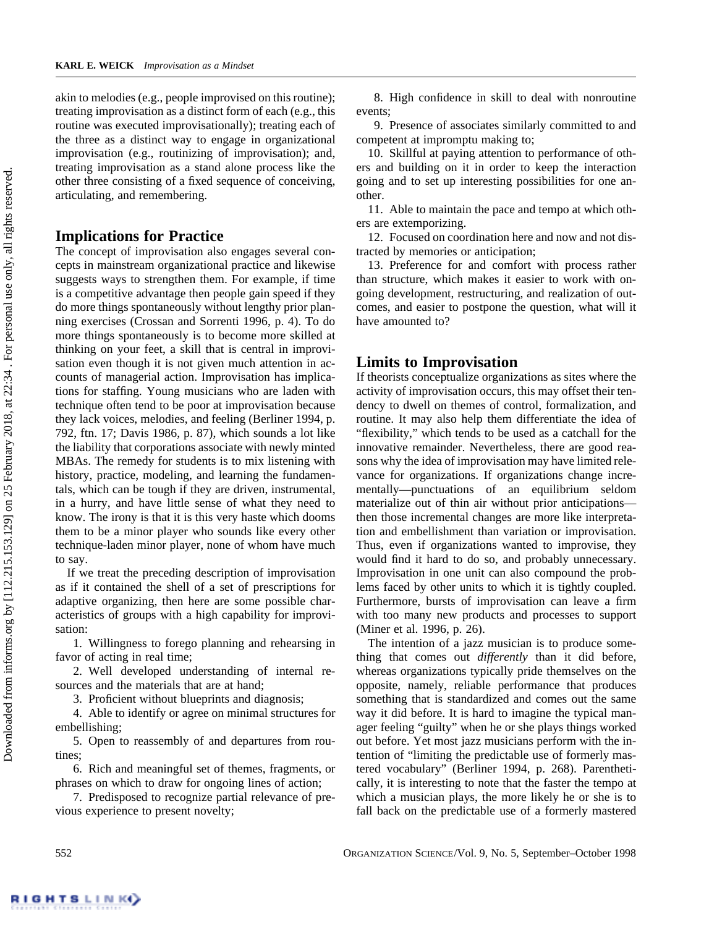akin to melodies (e.g., people improvised on this routine); treating improvisation as a distinct form of each (e.g., this routine was executed improvisationally); treating each of the three as a distinct way to engage in organizational improvisation (e.g., routinizing of improvisation); and, treating improvisation as a stand alone process like the other three consisting of a fixed sequence of conceiving, articulating, and remembering.

## **Implications for Practice**

The concept of improvisation also engages several concepts in mainstream organizational practice and likewise suggests ways to strengthen them. For example, if time is a competitive advantage then people gain speed if they do more things spontaneously without lengthy prior planning exercises (Crossan and Sorrenti 1996, p. 4). To do more things spontaneously is to become more skilled at thinking on your feet, a skill that is central in improvisation even though it is not given much attention in accounts of managerial action. Improvisation has implications for staffing. Young musicians who are laden with technique often tend to be poor at improvisation because they lack voices, melodies, and feeling (Berliner 1994, p. 792, ftn. 17; Davis 1986, p. 87), which sounds a lot like the liability that corporations associate with newly minted MBAs. The remedy for students is to mix listening with history, practice, modeling, and learning the fundamentals, which can be tough if they are driven, instrumental, in a hurry, and have little sense of what they need to know. The irony is that it is this very haste which dooms them to be a minor player who sounds like every other technique-laden minor player, none of whom have much to say.

If we treat the preceding description of improvisation as if it contained the shell of a set of prescriptions for adaptive organizing, then here are some possible characteristics of groups with a high capability for improvisation:

1. Willingness to forego planning and rehearsing in favor of acting in real time;

2. Well developed understanding of internal resources and the materials that are at hand;

3. Proficient without blueprints and diagnosis;

4. Able to identify or agree on minimal structures for embellishing;

5. Open to reassembly of and departures from routines;

6. Rich and meaningful set of themes, fragments, or phrases on which to draw for ongoing lines of action;

7. Predisposed to recognize partial relevance of previous experience to present novelty;

8. High confidence in skill to deal with nonroutine events;

9. Presence of associates similarly committed to and competent at impromptu making to;

10. Skillful at paying attention to performance of others and building on it in order to keep the interaction going and to set up interesting possibilities for one another.

11. Able to maintain the pace and tempo at which others are extemporizing.

12. Focused on coordination here and now and not distracted by memories or anticipation;

13. Preference for and comfort with process rather than structure, which makes it easier to work with ongoing development, restructuring, and realization of outcomes, and easier to postpone the question, what will it have amounted to?

#### **Limits to Improvisation**

If theorists conceptualize organizations as sites where the activity of improvisation occurs, this may offset their tendency to dwell on themes of control, formalization, and routine. It may also help them differentiate the idea of "flexibility," which tends to be used as a catchall for the innovative remainder. Nevertheless, there are good reasons why the idea of improvisation may have limited relevance for organizations. If organizations change incrementally—punctuations of an equilibrium seldom materialize out of thin air without prior anticipations then those incremental changes are more like interpretation and embellishment than variation or improvisation. Thus, even if organizations wanted to improvise, they would find it hard to do so, and probably unnecessary. Improvisation in one unit can also compound the problems faced by other units to which it is tightly coupled. Furthermore, bursts of improvisation can leave a firm with too many new products and processes to support (Miner et al. 1996, p. 26).

The intention of a jazz musician is to produce something that comes out *differently* than it did before, whereas organizations typically pride themselves on the opposite, namely, reliable performance that produces something that is standardized and comes out the same way it did before. It is hard to imagine the typical manager feeling "guilty" when he or she plays things worked out before. Yet most jazz musicians perform with the intention of "limiting the predictable use of formerly mastered vocabulary" (Berliner 1994, p. 268). Parenthetically, it is interesting to note that the faster the tempo at which a musician plays, the more likely he or she is to fall back on the predictable use of a formerly mastered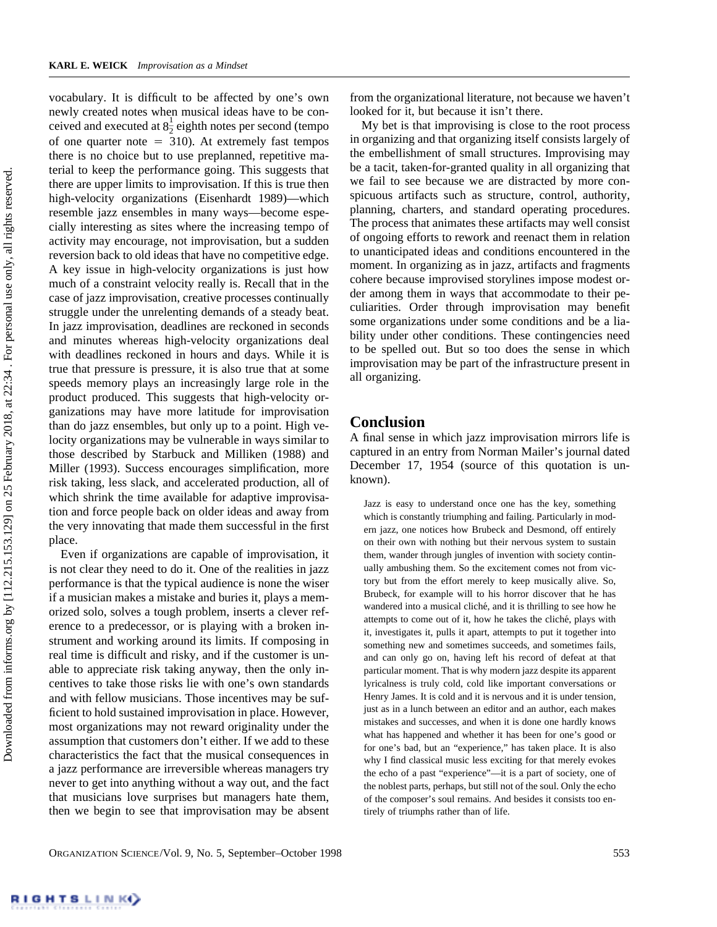vocabulary. It is difficult to be affected by one's own newly created notes when musical ideas have to be conceived and executed at  $8\frac{1}{2}$  eighth notes per second (tempo of one quarter note  $= 310$ ). At extremely fast tempos there is no choice but to use preplanned, repetitive material to keep the performance going. This suggests that there are upper limits to improvisation. If this is true then high-velocity organizations (Eisenhardt 1989)—which resemble jazz ensembles in many ways—become especially interesting as sites where the increasing tempo of activity may encourage, not improvisation, but a sudden reversion back to old ideas that have no competitive edge. A key issue in high-velocity organizations is just how much of a constraint velocity really is. Recall that in the case of jazz improvisation, creative processes continually struggle under the unrelenting demands of a steady beat. In jazz improvisation, deadlines are reckoned in seconds and minutes whereas high-velocity organizations deal with deadlines reckoned in hours and days. While it is true that pressure is pressure, it is also true that at some speeds memory plays an increasingly large role in the product produced. This suggests that high-velocity organizations may have more latitude for improvisation than do jazz ensembles, but only up to a point. High velocity organizations may be vulnerable in ways similar to those described by Starbuck and Milliken (1988) and Miller (1993). Success encourages simplification, more risk taking, less slack, and accelerated production, all of which shrink the time available for adaptive improvisation and force people back on older ideas and away from the very innovating that made them successful in the first place.

Even if organizations are capable of improvisation, it is not clear they need to do it. One of the realities in jazz performance is that the typical audience is none the wiser if a musician makes a mistake and buries it, plays a memorized solo, solves a tough problem, inserts a clever reference to a predecessor, or is playing with a broken instrument and working around its limits. If composing in real time is difficult and risky, and if the customer is unable to appreciate risk taking anyway, then the only incentives to take those risks lie with one's own standards and with fellow musicians. Those incentives may be sufficient to hold sustained improvisation in place. However, most organizations may not reward originality under the assumption that customers don't either. If we add to these characteristics the fact that the musical consequences in a jazz performance are irreversible whereas managers try never to get into anything without a way out, and the fact that musicians love surprises but managers hate them, then we begin to see that improvisation may be absent

from the organizational literature, not because we haven't looked for it, but because it isn't there.

My bet is that improvising is close to the root process in organizing and that organizing itself consists largely of the embellishment of small structures. Improvising may be a tacit, taken-for-granted quality in all organizing that we fail to see because we are distracted by more conspicuous artifacts such as structure, control, authority, planning, charters, and standard operating procedures. The process that animates these artifacts may well consist of ongoing efforts to rework and reenact them in relation to unanticipated ideas and conditions encountered in the moment. In organizing as in jazz, artifacts and fragments cohere because improvised storylines impose modest order among them in ways that accommodate to their peculiarities. Order through improvisation may benefit some organizations under some conditions and be a liability under other conditions. These contingencies need to be spelled out. But so too does the sense in which improvisation may be part of the infrastructure present in all organizing.

#### **Conclusion**

A final sense in which jazz improvisation mirrors life is captured in an entry from Norman Mailer's journal dated December 17, 1954 (source of this quotation is unknown).

Jazz is easy to understand once one has the key, something which is constantly triumphing and failing. Particularly in modern jazz, one notices how Brubeck and Desmond, off entirely on their own with nothing but their nervous system to sustain them, wander through jungles of invention with society continually ambushing them. So the excitement comes not from victory but from the effort merely to keep musically alive. So, Brubeck, for example will to his horror discover that he has wandered into a musical cliché, and it is thrilling to see how he attempts to come out of it, how he takes the cliché, plays with it, investigates it, pulls it apart, attempts to put it together into something new and sometimes succeeds, and sometimes fails, and can only go on, having left his record of defeat at that particular moment. That is why modern jazz despite its apparent lyricalness is truly cold, cold like important conversations or Henry James. It is cold and it is nervous and it is under tension, just as in a lunch between an editor and an author, each makes mistakes and successes, and when it is done one hardly knows what has happened and whether it has been for one's good or for one's bad, but an "experience," has taken place. It is also why I find classical music less exciting for that merely evokes the echo of a past "experience"—it is a part of society, one of the noblest parts, perhaps, but still not of the soul. Only the echo of the composer's soul remains. And besides it consists too entirely of triumphs rather than of life.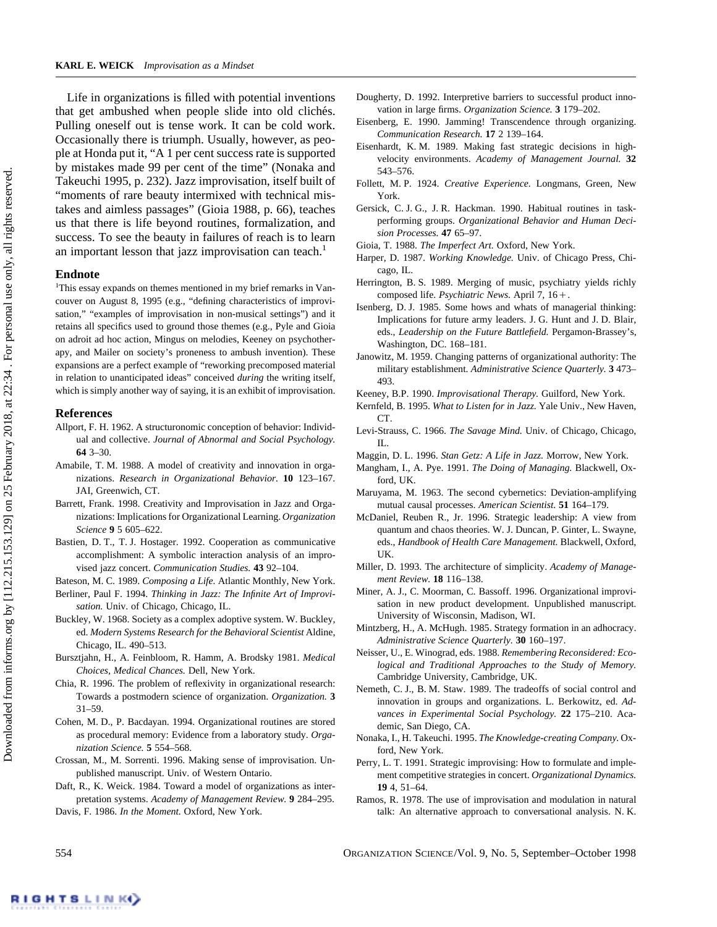Life in organizations is filled with potential inventions that get ambushed when people slide into old clichés. Pulling oneself out is tense work. It can be cold work. Occasionally there is triumph. Usually, however, as people at Honda put it, "A 1 per cent success rate is supported by mistakes made 99 per cent of the time" (Nonaka and Takeuchi 1995, p. 232). Jazz improvisation, itself built of "moments of rare beauty intermixed with technical mistakes and aimless passages" (Gioia 1988, p. 66), teaches us that there is life beyond routines, formalization, and success. To see the beauty in failures of reach is to learn an important lesson that jazz improvisation can teach.<sup>1</sup>

#### **Endnote**

<sup>1</sup>This essay expands on themes mentioned in my brief remarks in Vancouver on August 8, 1995 (e.g., "defining characteristics of improvisation," "examples of improvisation in non-musical settings") and it retains all specifics used to ground those themes (e.g., Pyle and Gioia on adroit ad hoc action, Mingus on melodies, Keeney on psychotherapy, and Mailer on society's proneness to ambush invention). These expansions are a perfect example of "reworking precomposed material in relation to unanticipated ideas" conceived *during* the writing itself, which is simply another way of saying, it is an exhibit of improvisation.

#### **References**

- Allport, F. H. 1962. A structuronomic conception of behavior: Individual and collective. *Journal of Abnormal and Social Psychology.* **64** 3–30.
- Amabile, T. M. 1988. A model of creativity and innovation in organizations. *Research in Organizational Behavior.* **10** 123–167. JAI, Greenwich, CT.
- Barrett, Frank. 1998. Creativity and Improvisation in Jazz and Organizations: Implications for Organizational Learning. *Organization Science* **9** 5 605–622.
- Bastien, D. T., T. J. Hostager. 1992. Cooperation as communicative accomplishment: A symbolic interaction analysis of an improvised jazz concert. *Communication Studies.* **43** 92–104.
- Bateson, M. C. 1989. *Composing a Life.* Atlantic Monthly, New York.
- Berliner, Paul F. 1994. *Thinking in Jazz: The Infinite Art of Improvisation.* Univ. of Chicago, Chicago, IL.
- Buckley, W. 1968. Society as a complex adoptive system. W. Buckley, ed. *Modern Systems Research for the Behavioral Scientist* Aldine, Chicago, IL. 490–513.
- Bursztjahn, H., A. Feinbloom, R. Hamm, A. Brodsky 1981. *Medical Choices, Medical Chances.* Dell, New York.
- Chia, R. 1996. The problem of reflexivity in organizational research: Towards a postmodern science of organization. *Organization.* **3** 31–59.
- Cohen, M. D., P. Bacdayan. 1994. Organizational routines are stored as procedural memory: Evidence from a laboratory study. *Organization Science.* **5** 554–568.
- Crossan, M., M. Sorrenti. 1996. Making sense of improvisation. Unpublished manuscript. Univ. of Western Ontario.
- Daft, R., K. Weick. 1984. Toward a model of organizations as interpretation systems. *Academy of Management Review.* **9** 284–295. Davis, F. 1986. *In the Moment.* Oxford, New York.
- Dougherty, D. 1992. Interpretive barriers to successful product innovation in large firms. *Organization Science.* **3** 179–202.
- Eisenberg, E. 1990. Jamming! Transcendence through organizing. *Communication Research.* **17** 2 139–164.
- Eisenhardt, K. M. 1989. Making fast strategic decisions in highvelocity environments. *Academy of Management Journal.* **32** 543–576.
- Follett, M. P. 1924. *Creative Experience.* Longmans, Green, New York.
- Gersick, C. J. G., J. R. Hackman. 1990. Habitual routines in taskperforming groups. *Organizational Behavior and Human Decision Processes.* **47** 65–97.
- Gioia, T. 1988. *The Imperfect Art.* Oxford, New York.
- Harper, D. 1987. *Working Knowledge.* Univ. of Chicago Press, Chicago, IL.
- Herrington, B. S. 1989. Merging of music, psychiatry yields richly composed life. *Psychiatric News.* April 7, 16+.
- Isenberg, D. J. 1985. Some hows and whats of managerial thinking: Implications for future army leaders. J. G. Hunt and J. D. Blair, eds., *Leadership on the Future Battlefield.* Pergamon-Brassey's, Washington, DC. 168–181.
- Janowitz, M. 1959. Changing patterns of organizational authority: The military establishment. *Administrative Science Quarterly.* **3** 473– 493.
- Keeney, B.P. 1990. *Improvisational Therapy.* Guilford, New York.
- Kernfeld, B. 1995. *What to Listen for in Jazz.* Yale Univ., New Haven,  $CT$
- Levi-Strauss, C. 1966. *The Savage Mind.* Univ. of Chicago, Chicago, IL.
- Maggin, D. L. 1996. *Stan Getz: A Life in Jazz.* Morrow, New York.
- Mangham, I., A. Pye. 1991. *The Doing of Managing.* Blackwell, Oxford, UK.
- Maruyama, M. 1963. The second cybernetics: Deviation-amplifying mutual causal processes. *American Scientist.* **51** 164–179.
- McDaniel, Reuben R., Jr. 1996. Strategic leadership: A view from quantum and chaos theories. W. J. Duncan, P. Ginter, L. Swayne, eds., *Handbook of Health Care Management.* Blackwell, Oxford, UK.
- Miller, D. 1993. The architecture of simplicity. *Academy of Management Review.* **18** 116–138.
- Miner, A. J., C. Moorman, C. Bassoff. 1996. Organizational improvisation in new product development. Unpublished manuscript. University of Wisconsin, Madison, WI.
- Mintzberg, H., A. McHugh. 1985. Strategy formation in an adhocracy. *Administrative Science Quarterly.* **30** 160–197.
- Neisser, U., E. Winograd, eds. 1988. *Remembering Reconsidered: Ecological and Traditional Approaches to the Study of Memory.* Cambridge University, Cambridge, UK.
- Nemeth, C. J., B. M. Staw. 1989. The tradeoffs of social control and innovation in groups and organizations. L. Berkowitz, ed. *Advances in Experimental Social Psychology.* **22** 175–210. Academic, San Diego, CA.
- Nonaka, I., H. Takeuchi. 1995. *The Knowledge-creating Company.* Oxford, New York.
- Perry, L. T. 1991. Strategic improvising: How to formulate and implement competitive strategies in concert. *Organizational Dynamics.* **19** 4, 51–64.
- Ramos, R. 1978. The use of improvisation and modulation in natural talk: An alternative approach to conversational analysis. N. K.